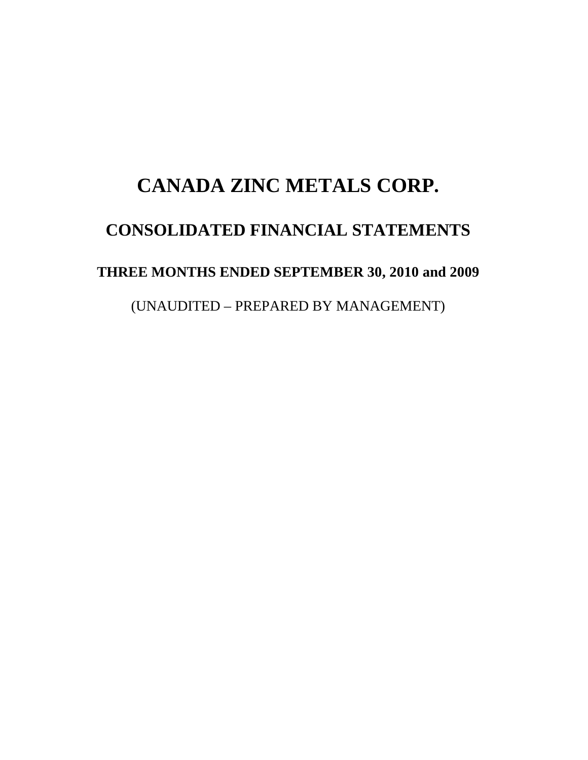# **CANADA ZINC METALS CORP. CONSOLIDATED FINANCIAL STATEMENTS THREE MONTHS ENDED SEPTEMBER 30, 2010 and 2009**  (UNAUDITED – PREPARED BY MANAGEMENT)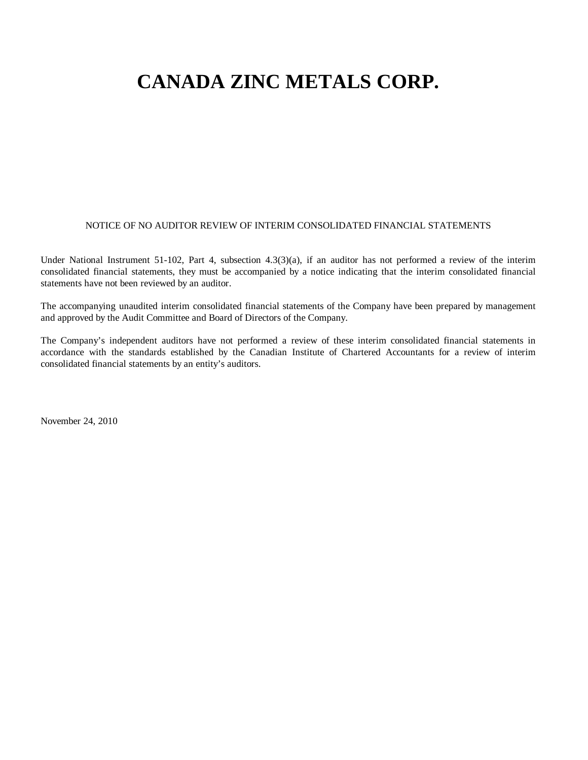#### NOTICE OF NO AUDITOR REVIEW OF INTERIM CONSOLIDATED FINANCIAL STATEMENTS

Under National Instrument 51-102, Part 4, subsection 4.3(3)(a), if an auditor has not performed a review of the interim consolidated financial statements, they must be accompanied by a notice indicating that the interim consolidated financial statements have not been reviewed by an auditor.

The accompanying unaudited interim consolidated financial statements of the Company have been prepared by management and approved by the Audit Committee and Board of Directors of the Company.

The Company's independent auditors have not performed a review of these interim consolidated financial statements in accordance with the standards established by the Canadian Institute of Chartered Accountants for a review of interim consolidated financial statements by an entity's auditors.

November 24, 2010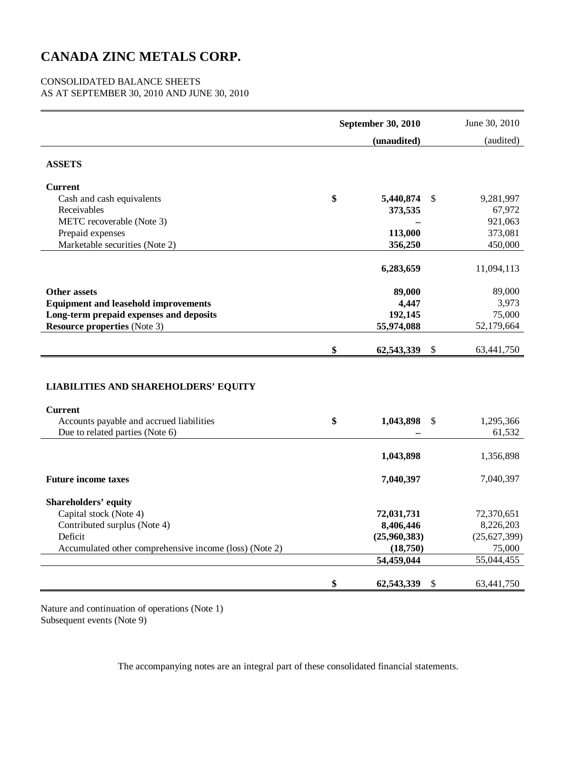#### CONSOLIDATED BALANCE SHEETS

AS AT SEPTEMBER 30, 2010 AND JUNE 30, 2010

|                                                                                                           | September 30, 2010 |              |    | June 30, 2010 |
|-----------------------------------------------------------------------------------------------------------|--------------------|--------------|----|---------------|
|                                                                                                           |                    | (unaudited)  |    | (audited)     |
| <b>ASSETS</b>                                                                                             |                    |              |    |               |
| <b>Current</b>                                                                                            |                    |              |    |               |
| Cash and cash equivalents                                                                                 | \$                 | 5,440,874    | \$ | 9,281,997     |
| Receivables                                                                                               |                    | 373,535      |    | 67,972        |
| METC recoverable (Note 3)                                                                                 |                    |              |    | 921,063       |
| Prepaid expenses                                                                                          |                    | 113,000      |    | 373,081       |
| Marketable securities (Note 2)                                                                            |                    | 356,250      |    | 450,000       |
|                                                                                                           |                    | 6,283,659    |    | 11,094,113    |
| <b>Other assets</b>                                                                                       |                    | 89,000       |    | 89,000        |
| <b>Equipment and leasehold improvements</b>                                                               |                    | 4,447        |    | 3,973         |
| Long-term prepaid expenses and deposits                                                                   |                    | 192,145      |    | 75,000        |
| <b>Resource properties (Note 3)</b>                                                                       |                    | 55,974,088   |    | 52,179,664    |
|                                                                                                           | \$                 | 62,543,339   | \$ | 63,441,750    |
| <b>LIABILITIES AND SHAREHOLDERS' EQUITY</b><br><b>Current</b><br>Accounts payable and accrued liabilities | \$                 | 1,043,898    | \$ | 1,295,366     |
| Due to related parties (Note 6)                                                                           |                    |              |    | 61,532        |
|                                                                                                           |                    | 1,043,898    |    | 1,356,898     |
| <b>Future income taxes</b>                                                                                |                    | 7,040,397    |    | 7,040,397     |
| <b>Shareholders' equity</b>                                                                               |                    |              |    |               |
| Capital stock (Note 4)                                                                                    |                    | 72,031,731   |    | 72,370,651    |
| Contributed surplus (Note 4)                                                                              |                    | 8,406,446    |    | 8,226,203     |
| Deficit                                                                                                   |                    | (25,960,383) |    | (25,627,399)  |
| Accumulated other comprehensive income (loss) (Note 2)                                                    |                    | (18,750)     |    | 75,000        |
|                                                                                                           |                    | 54,459,044   |    | 55,044,455    |
|                                                                                                           | \$                 | 62,543,339   | S  | 63,441,750    |

Nature and continuation of operations (Note 1) Subsequent events (Note 9)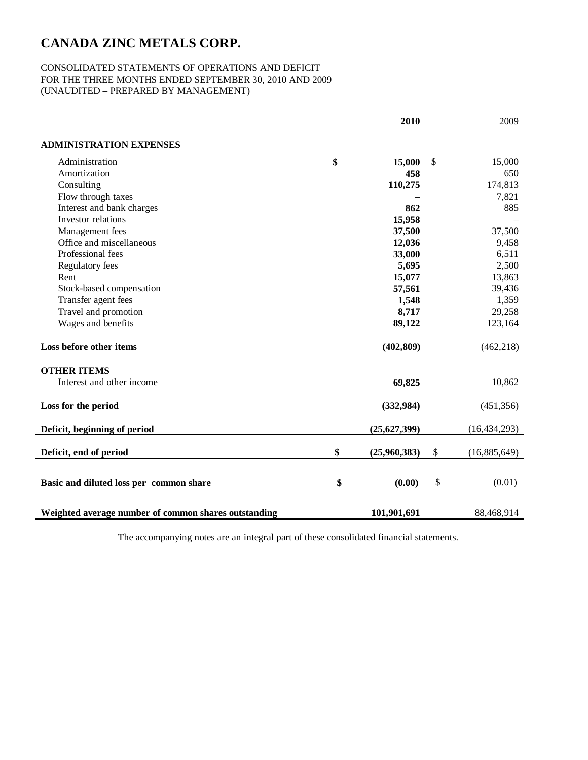#### CONSOLIDATED STATEMENTS OF OPERATIONS AND DEFICIT FOR THE THREE MONTHS ENDED SEPTEMBER 30, 2010 AND 2009 (UNAUDITED – PREPARED BY MANAGEMENT)

|                                                      | 2010               | 2009               |
|------------------------------------------------------|--------------------|--------------------|
| <b>ADMINISTRATION EXPENSES</b>                       |                    |                    |
| Administration                                       | \$<br>15,000       | \$<br>15,000       |
| Amortization                                         | 458                | 650                |
| Consulting                                           | 110,275            | 174,813            |
| Flow through taxes                                   |                    | 7,821              |
| Interest and bank charges                            | 862                | 885                |
| Investor relations                                   | 15,958             |                    |
| Management fees                                      | 37,500             | 37,500             |
| Office and miscellaneous                             | 12,036             | 9,458              |
| Professional fees                                    | 33,000             | 6,511              |
| Regulatory fees                                      | 5,695              | 2,500              |
| Rent                                                 | 15,077             | 13,863             |
| Stock-based compensation                             | 57,561             | 39,436             |
| Transfer agent fees                                  | 1,548              | 1,359              |
| Travel and promotion                                 | 8,717              | 29,258             |
| Wages and benefits                                   | 89,122             | 123,164            |
| Loss before other items                              | (402, 809)         | (462, 218)         |
| <b>OTHER ITEMS</b>                                   |                    |                    |
| Interest and other income                            | 69,825             | 10,862             |
| Loss for the period                                  | (332,984)          | (451, 356)         |
| Deficit, beginning of period                         | (25,627,399)       | (16, 434, 293)     |
| Deficit, end of period                               | \$<br>(25,960,383) | \$<br>(16,885,649) |
| Basic and diluted loss per common share              | \$<br>(0.00)       | \$<br>(0.01)       |
| Weighted average number of common shares outstanding | 101,901,691        | 88,468,914         |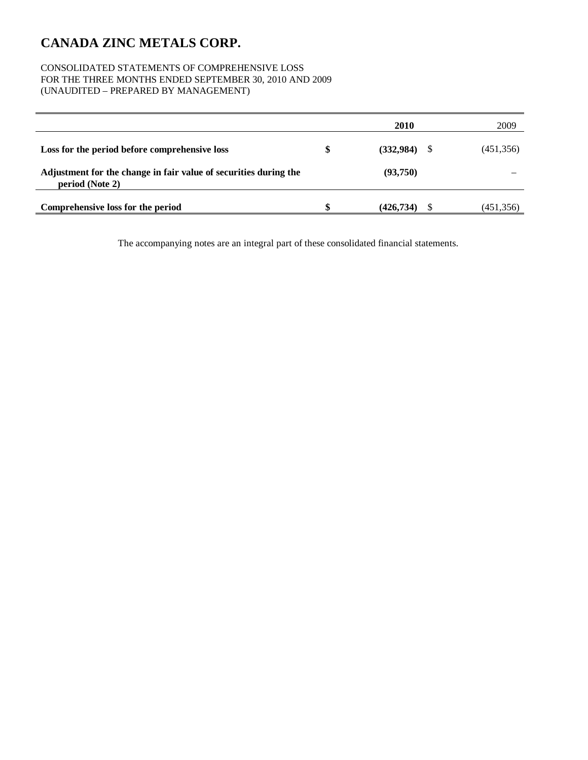#### CONSOLIDATED STATEMENTS OF COMPREHENSIVE LOSS FOR THE THREE MONTHS ENDED SEPTEMBER 30, 2010 AND 2009 (UNAUDITED – PREPARED BY MANAGEMENT)

|                                                                                     |   | 2010       |    | 2009       |
|-------------------------------------------------------------------------------------|---|------------|----|------------|
| Loss for the period before comprehensive loss                                       | S | (332,984)  | -S | (451, 356) |
| Adjustment for the change in fair value of securities during the<br>period (Note 2) |   | (93,750)   |    |            |
| Comprehensive loss for the period                                                   |   | (426, 734) |    | (451,356)  |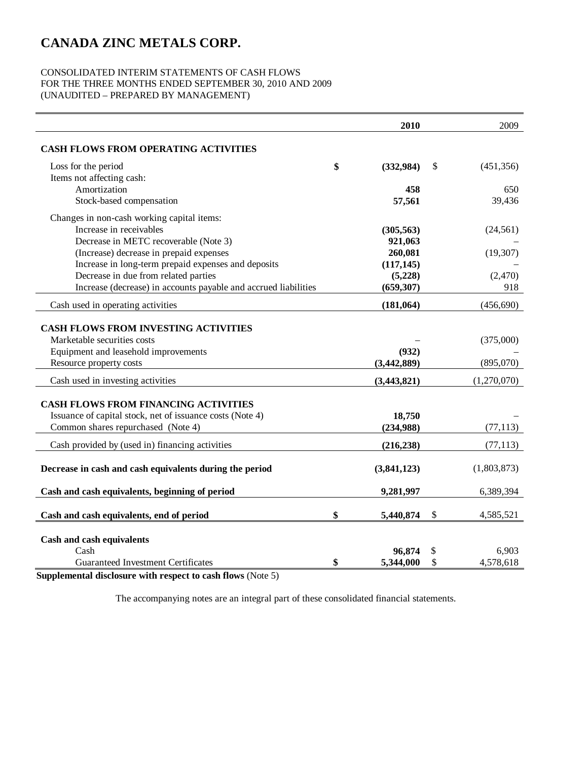#### CONSOLIDATED INTERIM STATEMENTS OF CASH FLOWS FOR THE THREE MONTHS ENDED SEPTEMBER 30, 2010 AND 2009 (UNAUDITED – PREPARED BY MANAGEMENT)

|                                                                 | 2010            | 2009             |
|-----------------------------------------------------------------|-----------------|------------------|
| <b>CASH FLOWS FROM OPERATING ACTIVITIES</b>                     |                 |                  |
| Loss for the period                                             | \$<br>(332,984) | \$<br>(451, 356) |
| Items not affecting cash:                                       |                 |                  |
| Amortization                                                    | 458             | 650              |
| Stock-based compensation                                        | 57,561          | 39,436           |
| Changes in non-cash working capital items:                      |                 |                  |
| Increase in receivables                                         | (305, 563)      | (24, 561)        |
| Decrease in METC recoverable (Note 3)                           | 921,063         |                  |
| (Increase) decrease in prepaid expenses                         | 260,081         | (19, 307)        |
| Increase in long-term prepaid expenses and deposits             | (117, 145)      |                  |
| Decrease in due from related parties                            | (5,228)         | (2,470)          |
| Increase (decrease) in accounts payable and accrued liabilities | (659, 307)      | 918              |
| Cash used in operating activities                               | (181, 064)      | (456, 690)       |
|                                                                 |                 |                  |
| <b>CASH FLOWS FROM INVESTING ACTIVITIES</b>                     |                 |                  |
| Marketable securities costs                                     |                 | (375,000)        |
| Equipment and leasehold improvements                            | (932)           |                  |
| Resource property costs                                         | (3,442,889)     | (895,070)        |
| Cash used in investing activities                               | (3,443,821)     | (1,270,070)      |
| <b>CASH FLOWS FROM FINANCING ACTIVITIES</b>                     |                 |                  |
| Issuance of capital stock, net of issuance costs (Note 4)       | 18,750          |                  |
| Common shares repurchased (Note 4)                              | (234,988)       | (77, 113)        |
| Cash provided by (used in) financing activities                 | (216, 238)      | (77, 113)        |
| Decrease in cash and cash equivalents during the period         | (3,841,123)     | (1,803,873)      |
| Cash and cash equivalents, beginning of period                  | 9,281,997       | 6,389,394        |
| Cash and cash equivalents, end of period                        | \$<br>5,440,874 | \$<br>4,585,521  |
|                                                                 |                 |                  |
| Cash and cash equivalents                                       |                 |                  |
| Cash                                                            | 96,874          | 6,903            |
| Guaranteed Investment Certificates                              | \$<br>5,344,000 | \$<br>4,578,618  |

**Supplemental disclosure with respect to cash flows** (Note 5)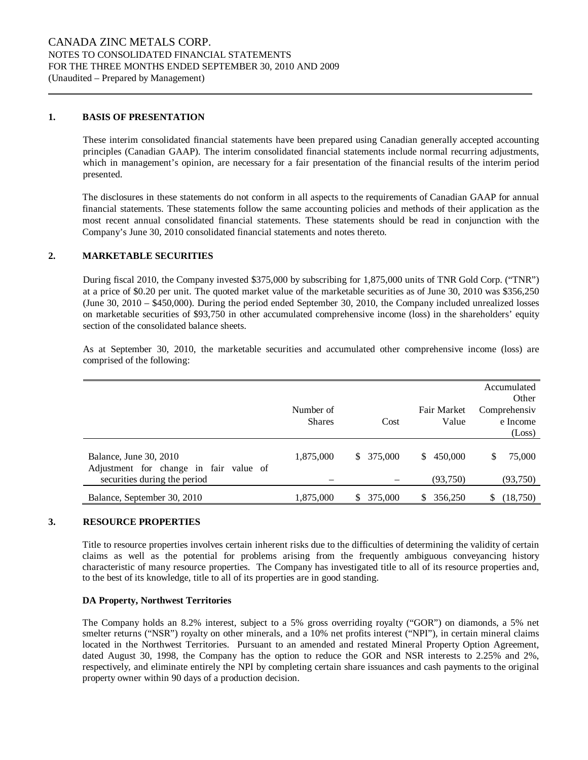#### **1. BASIS OF PRESENTATION**

These interim consolidated financial statements have been prepared using Canadian generally accepted accounting principles (Canadian GAAP). The interim consolidated financial statements include normal recurring adjustments, which in management's opinion, are necessary for a fair presentation of the financial results of the interim period presented.

The disclosures in these statements do not conform in all aspects to the requirements of Canadian GAAP for annual financial statements. These statements follow the same accounting policies and methods of their application as the most recent annual consolidated financial statements. These statements should be read in conjunction with the Company's June 30, 2010 consolidated financial statements and notes thereto.

#### **2. MARKETABLE SECURITIES**

During fiscal 2010, the Company invested \$375,000 by subscribing for 1,875,000 units of TNR Gold Corp. ("TNR") at a price of \$0.20 per unit. The quoted market value of the marketable securities as of June 30, 2010 was \$356,250 (June 30, 2010 – \$450,000). During the period ended September 30, 2010, the Company included unrealized losses on marketable securities of \$93,750 in other accumulated comprehensive income (loss) in the shareholders' equity section of the consolidated balance sheets.

As at September 30, 2010, the marketable securities and accumulated other comprehensive income (loss) are comprised of the following:

|               |                           |               | Accumulated    |
|---------------|---------------------------|---------------|----------------|
|               |                           |               | Other          |
| Number of     |                           | Fair Market   | Comprehensiv   |
| <b>Shares</b> | Cost                      | Value         | e Income       |
|               |                           |               | (Loss)         |
|               |                           |               |                |
| 1,875,000     | 375,000<br>$\mathbb{S}^-$ | 450,000<br>S. | 75,000<br>\$   |
|               |                           |               |                |
|               |                           | (93,750)      | (93,750)       |
| 1,875,000     | 375,000<br>S.             | 356,250<br>S. | (18, 750)<br>S |
|               |                           |               |                |

#### **3. RESOURCE PROPERTIES**

Title to resource properties involves certain inherent risks due to the difficulties of determining the validity of certain claims as well as the potential for problems arising from the frequently ambiguous conveyancing history characteristic of many resource properties. The Company has investigated title to all of its resource properties and, to the best of its knowledge, title to all of its properties are in good standing.

#### **DA Property, Northwest Territories**

The Company holds an 8.2% interest, subject to a 5% gross overriding royalty ("GOR") on diamonds, a 5% net smelter returns ("NSR") royalty on other minerals, and a 10% net profits interest ("NPI"), in certain mineral claims located in the Northwest Territories. Pursuant to an amended and restated Mineral Property Option Agreement, dated August 30, 1998, the Company has the option to reduce the GOR and NSR interests to 2.25% and 2%, respectively, and eliminate entirely the NPI by completing certain share issuances and cash payments to the original property owner within 90 days of a production decision.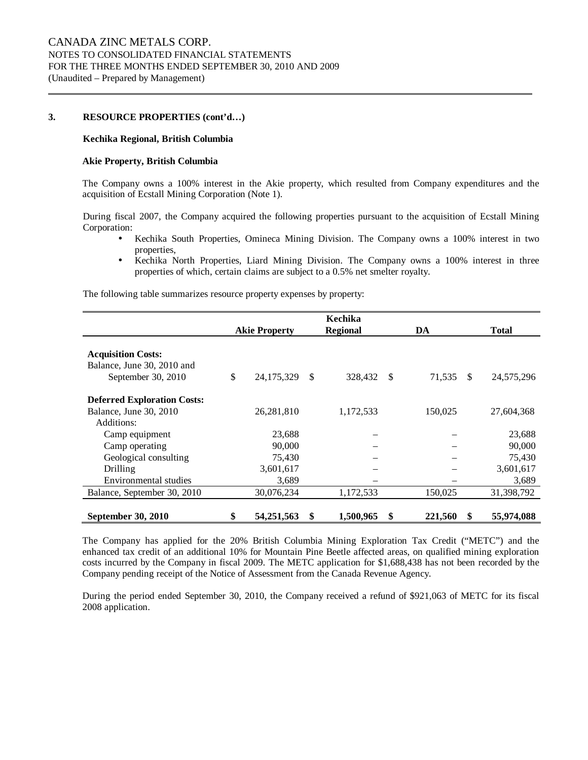#### **3. RESOURCE PROPERTIES (cont'd…)**

#### **Kechika Regional, British Columbia**

#### **Akie Property, British Columbia**

The Company owns a 100% interest in the Akie property, which resulted from Company expenditures and the acquisition of Ecstall Mining Corporation (Note 1).

During fiscal 2007, the Company acquired the following properties pursuant to the acquisition of Ecstall Mining Corporation:

- Kechika South Properties, Omineca Mining Division. The Company owns a 100% interest in two properties,
- Kechika North Properties, Liard Mining Division. The Company owns a 100% interest in three properties of which, certain claims are subject to a 0.5% net smelter royalty.

The following table summarizes resource property expenses by property:

|                                    |                      |    | Kechika         |    |         |               |              |
|------------------------------------|----------------------|----|-----------------|----|---------|---------------|--------------|
|                                    | <b>Akie Property</b> |    | <b>Regional</b> |    | DA      |               | <b>Total</b> |
|                                    |                      |    |                 |    |         |               |              |
| <b>Acquisition Costs:</b>          |                      |    |                 |    |         |               |              |
| Balance, June 30, 2010 and         |                      |    |                 |    |         |               |              |
| September 30, 2010                 | \$<br>24, 175, 329   | -S | 328,432         | S  | 71,535  | <sup>\$</sup> | 24,575,296   |
| <b>Deferred Exploration Costs:</b> |                      |    |                 |    |         |               |              |
| Balance, June 30, 2010             | 26, 281, 810         |    | 1,172,533       |    | 150,025 |               | 27,604,368   |
| Additions:                         |                      |    |                 |    |         |               |              |
| Camp equipment                     | 23,688               |    |                 |    |         |               | 23,688       |
| Camp operating                     | 90,000               |    |                 |    |         |               | 90,000       |
| Geological consulting              | 75,430               |    |                 |    |         |               | 75,430       |
| Drilling                           | 3,601,617            |    |                 |    |         |               | 3,601,617    |
| Environmental studies              | 3,689                |    |                 |    |         |               | 3,689        |
| Balance, September 30, 2010        | 30,076,234           |    | 1,172,533       |    | 150,025 |               | 31,398,792   |
|                                    |                      |    |                 |    |         |               |              |
| September 30, 2010                 | \$<br>54,251,563     | S  | 1,500,965       | \$ | 221,560 | S             | 55,974,088   |

The Company has applied for the 20% British Columbia Mining Exploration Tax Credit ("METC") and the enhanced tax credit of an additional 10% for Mountain Pine Beetle affected areas, on qualified mining exploration costs incurred by the Company in fiscal 2009. The METC application for \$1,688,438 has not been recorded by the Company pending receipt of the Notice of Assessment from the Canada Revenue Agency.

During the period ended September 30, 2010, the Company received a refund of \$921,063 of METC for its fiscal 2008 application.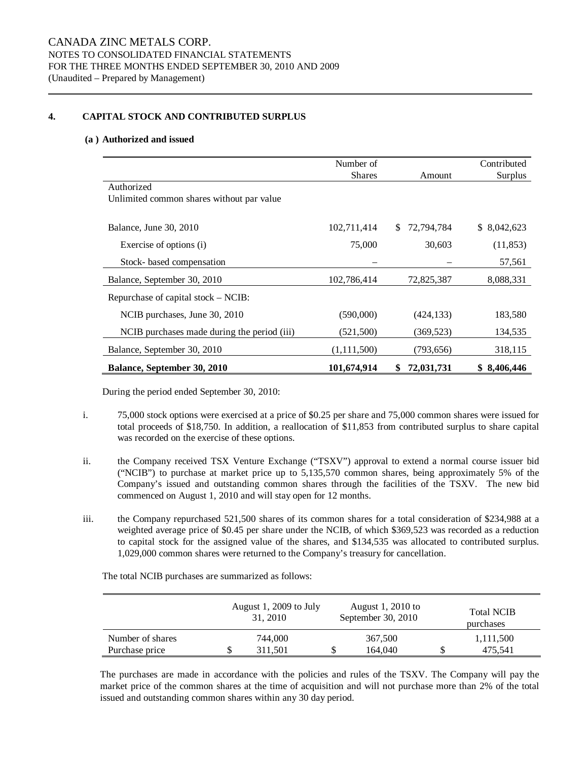#### **4. CAPITAL STOCK AND CONTRIBUTED SURPLUS**

#### **(a ) Authorized and issued**

|                                             | Number of     |                   | Contributed  |
|---------------------------------------------|---------------|-------------------|--------------|
|                                             | <b>Shares</b> | Amount            | Surplus      |
| Authorized                                  |               |                   |              |
| Unlimited common shares without par value   |               |                   |              |
|                                             |               |                   |              |
| Balance, June 30, 2010                      | 102,711,414   | 72,794,784<br>\$. | \$ 8,042,623 |
| Exercise of options (i)                     | 75,000        | 30,603            | (11, 853)    |
| Stock- based compensation                   |               |                   | 57,561       |
| Balance, September 30, 2010                 | 102,786,414   | 72,825,387        | 8,088,331    |
| Repurchase of capital stock – NCIB:         |               |                   |              |
| NCIB purchases, June 30, 2010               | (590,000)     | (424, 133)        | 183,580      |
| NCIB purchases made during the period (iii) | (521, 500)    | (369, 523)        | 134,535      |
| Balance, September 30, 2010                 | (1,111,500)   | (793,656)         | 318,115      |
| <b>Balance, September 30, 2010</b>          | 101,674,914   | 72,031,731<br>\$  | \$8,406,446  |

During the period ended September 30, 2010:

- i. 75,000 stock options were exercised at a price of \$0.25 per share and 75,000 common shares were issued for total proceeds of \$18,750. In addition, a reallocation of \$11,853 from contributed surplus to share capital was recorded on the exercise of these options.
- ii. the Company received TSX Venture Exchange ("TSXV") approval to extend a normal course issuer bid ("NCIB") to purchase at market price up to 5,135,570 common shares, being approximately 5% of the Company's issued and outstanding common shares through the facilities of the TSXV. The new bid commenced on August 1, 2010 and will stay open for 12 months.
- iii. the Company repurchased 521,500 shares of its common shares for a total consideration of \$234,988 at a weighted average price of \$0.45 per share under the NCIB, of which \$369,523 was recorded as a reduction to capital stock for the assigned value of the shares, and \$134,535 was allocated to contributed surplus. 1,029,000 common shares were returned to the Company's treasury for cancellation.

The total NCIB purchases are summarized as follows:

|                  | August 1, 2009 to July<br>31, 2010 | August 1, 2010 to<br>September 30, 2010 | <b>Total NCIB</b><br>purchases |
|------------------|------------------------------------|-----------------------------------------|--------------------------------|
| Number of shares | 744,000                            | 367,500                                 | 1,111,500                      |
| Purchase price   | 311.501                            | 164,040                                 | 475.541                        |

The purchases are made in accordance with the policies and rules of the TSXV. The Company will pay the market price of the common shares at the time of acquisition and will not purchase more than 2% of the total issued and outstanding common shares within any 30 day period.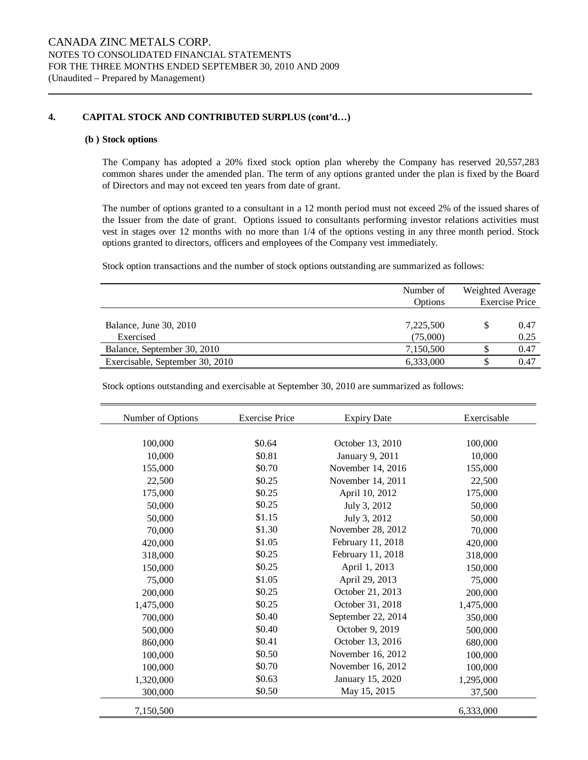#### **4. CAPITAL STOCK AND CONTRIBUTED SURPLUS (cont'd…)**

#### **(b ) Stock options**

The Company has adopted a 20% fixed stock option plan whereby the Company has reserved 20,557,283 common shares under the amended plan. The term of any options granted under the plan is fixed by the Board of Directors and may not exceed ten years from date of grant.

The number of options granted to a consultant in a 12 month period must not exceed 2% of the issued shares of the Issuer from the date of grant. Options issued to consultants performing investor relations activities must vest in stages over 12 months with no more than 1/4 of the options vesting in any three month period. Stock options granted to directors, officers and employees of the Company vest immediately.

Stock option transactions and the number of stock options outstanding are summarized as follows:

|                                 | Number of<br><b>Options</b> | Weighted Average<br><b>Exercise Price</b> |  |
|---------------------------------|-----------------------------|-------------------------------------------|--|
|                                 |                             |                                           |  |
| Balance, June 30, 2010          | 7,225,500                   | 0.47                                      |  |
| Exercised                       | (75,000)                    | 0.25                                      |  |
| Balance, September 30, 2010     | 7,150,500                   | 0.47                                      |  |
| Exercisable, September 30, 2010 | 6,333,000                   | 0.47                                      |  |

Stock options outstanding and exercisable at September 30, 2010 are summarized as follows:

| Number of Options | <b>Exercise Price</b> | <b>Expiry Date</b> | Exercisable |
|-------------------|-----------------------|--------------------|-------------|
|                   |                       |                    |             |
| 100,000           | \$0.64                | October 13, 2010   | 100,000     |
| 10,000            | \$0.81                | January 9, 2011    | 10,000      |
| 155,000           | \$0.70                | November 14, 2016  | 155,000     |
| 22,500            | \$0.25                | November 14, 2011  | 22,500      |
| 175,000           | \$0.25                | April 10, 2012     | 175,000     |
| 50,000            | \$0.25                | July 3, 2012       | 50,000      |
| 50,000            | \$1.15                | July 3, 2012       | 50,000      |
| 70,000            | \$1.30                | November 28, 2012  | 70,000      |
| 420,000           | \$1.05                | February 11, 2018  | 420,000     |
| 318,000           | \$0.25                | February 11, 2018  | 318,000     |
| 150,000           | \$0.25                | April 1, 2013      | 150,000     |
| 75,000            | \$1.05                | April 29, 2013     | 75,000      |
| 200,000           | \$0.25                | October 21, 2013   | 200,000     |
| 1,475,000         | \$0.25                | October 31, 2018   | 1,475,000   |
| 700,000           | \$0.40                | September 22, 2014 | 350,000     |
| 500,000           | \$0.40                | October 9, 2019    | 500,000     |
| 860,000           | \$0.41                | October 13, 2016   | 680,000     |
| 100,000           | \$0.50                | November 16, 2012  | 100,000     |
| 100,000           | \$0.70                | November 16, 2012  | 100,000     |
| 1,320,000         | \$0.63                | January 15, 2020   | 1,295,000   |
| 300,000           | \$0.50                | May 15, 2015       | 37,500      |
| 7,150,500         |                       |                    | 6,333,000   |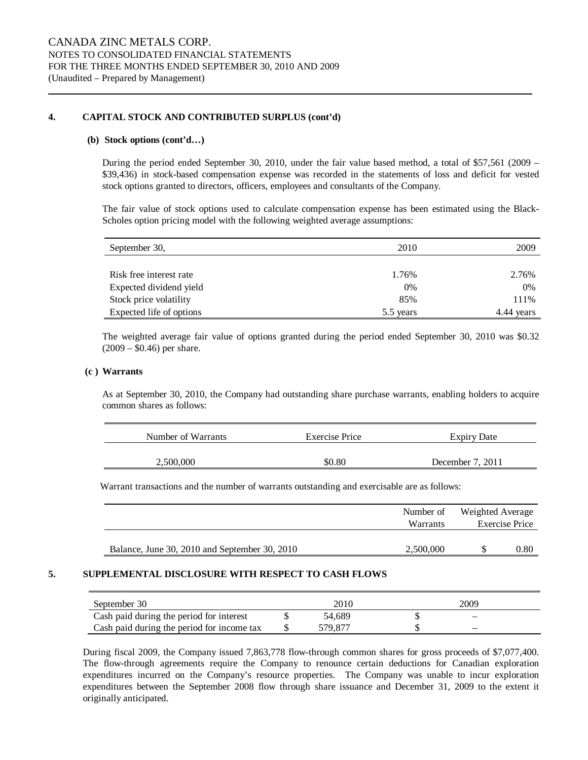#### **4. CAPITAL STOCK AND CONTRIBUTED SURPLUS (cont'd)**

#### **(b) Stock options (cont'd…)**

During the period ended September 30, 2010, under the fair value based method, a total of \$57,561 (2009 – \$39,436) in stock-based compensation expense was recorded in the statements of loss and deficit for vested stock options granted to directors, officers, employees and consultants of the Company.

The fair value of stock options used to calculate compensation expense has been estimated using the Black-Scholes option pricing model with the following weighted average assumptions:

| September 30,            | 2010      | 2009       |
|--------------------------|-----------|------------|
|                          |           |            |
| Risk free interest rate  | 1.76%     | 2.76%      |
| Expected dividend yield  | 0%        | 0%         |
| Stock price volatility   | 85%       | 111%       |
| Expected life of options | 5.5 years | 4.44 years |

The weighted average fair value of options granted during the period ended September 30, 2010 was \$0.32  $(2009 - $0.46)$  per share.

#### **(c ) Warrants**

As at September 30, 2010, the Company had outstanding share purchase warrants, enabling holders to acquire common shares as follows:

| Number of Warrants | Exercise Price | <b>Expiry Date</b> |
|--------------------|----------------|--------------------|
| 2.500,000          | \$0.80         | December 7, 2011   |

Warrant transactions and the number of warrants outstanding and exercisable are as follows:

|                                               | Number of | Weighted Average |      |  |
|-----------------------------------------------|-----------|------------------|------|--|
|                                               | Warrants  | Exercise Price   |      |  |
|                                               |           |                  |      |  |
| Balance, June 30, 2010 and September 30, 2010 | 2,500,000 |                  | 0.80 |  |

#### **5. SUPPLEMENTAL DISCLOSURE WITH RESPECT TO CASH FLOWS**

| September 30                               | 2010    | 2009                     |  |
|--------------------------------------------|---------|--------------------------|--|
| Cash paid during the period for interest   | 54.689  | $\overline{\phantom{0}}$ |  |
| Cash paid during the period for income tax | 579.871 | -                        |  |

During fiscal 2009, the Company issued 7,863,778 flow-through common shares for gross proceeds of \$7,077,400. The flow-through agreements require the Company to renounce certain deductions for Canadian exploration expenditures incurred on the Company's resource properties. The Company was unable to incur exploration expenditures between the September 2008 flow through share issuance and December 31, 2009 to the extent it originally anticipated.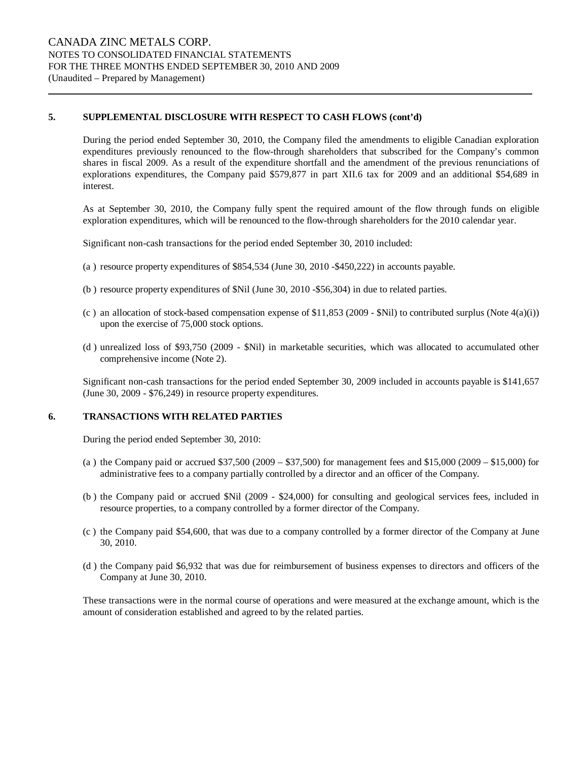#### **5. SUPPLEMENTAL DISCLOSURE WITH RESPECT TO CASH FLOWS (cont'd)**

During the period ended September 30, 2010, the Company filed the amendments to eligible Canadian exploration expenditures previously renounced to the flow-through shareholders that subscribed for the Company's common shares in fiscal 2009. As a result of the expenditure shortfall and the amendment of the previous renunciations of explorations expenditures, the Company paid \$579,877 in part XII.6 tax for 2009 and an additional \$54,689 in interest.

As at September 30, 2010, the Company fully spent the required amount of the flow through funds on eligible exploration expenditures, which will be renounced to the flow-through shareholders for the 2010 calendar year.

Significant non-cash transactions for the period ended September 30, 2010 included:

- (a ) resource property expenditures of \$854,534 (June 30, 2010 -\$450,222) in accounts payable.
- (b ) resource property expenditures of \$Nil (June 30, 2010 -\$56,304) in due to related parties.
- (c) an allocation of stock-based compensation expense of \$11,853 (2009 \$Nil) to contributed surplus (Note  $4(a)(i)$ ) upon the exercise of 75,000 stock options.
- (d ) unrealized loss of \$93,750 (2009 \$Nil) in marketable securities, which was allocated to accumulated other comprehensive income (Note 2).

Significant non-cash transactions for the period ended September 30, 2009 included in accounts payable is \$141,657 (June 30, 2009 - \$76,249) in resource property expenditures.

#### **6. TRANSACTIONS WITH RELATED PARTIES**

During the period ended September 30, 2010:

- (a ) the Company paid or accrued \$37,500 (2009 \$37,500) for management fees and \$15,000 (2009 \$15,000) for administrative fees to a company partially controlled by a director and an officer of the Company.
- (b ) the Company paid or accrued \$Nil (2009 \$24,000) for consulting and geological services fees, included in resource properties, to a company controlled by a former director of the Company.
- (c ) the Company paid \$54,600, that was due to a company controlled by a former director of the Company at June 30, 2010.
- (d ) the Company paid \$6,932 that was due for reimbursement of business expenses to directors and officers of the Company at June 30, 2010.

These transactions were in the normal course of operations and were measured at the exchange amount, which is the amount of consideration established and agreed to by the related parties.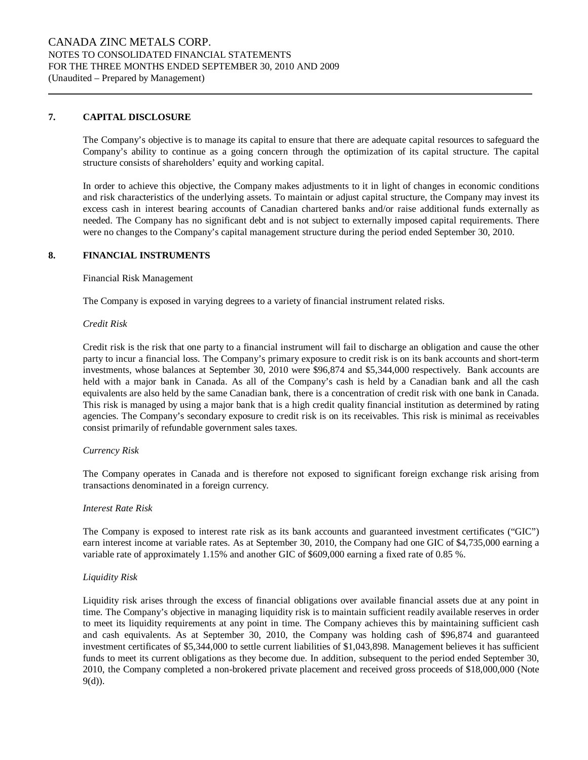#### **7. CAPITAL DISCLOSURE**

The Company's objective is to manage its capital to ensure that there are adequate capital resources to safeguard the Company's ability to continue as a going concern through the optimization of its capital structure. The capital structure consists of shareholders' equity and working capital.

In order to achieve this objective, the Company makes adjustments to it in light of changes in economic conditions and risk characteristics of the underlying assets. To maintain or adjust capital structure, the Company may invest its excess cash in interest bearing accounts of Canadian chartered banks and/or raise additional funds externally as needed. The Company has no significant debt and is not subject to externally imposed capital requirements. There were no changes to the Company's capital management structure during the period ended September 30, 2010.

#### **8. FINANCIAL INSTRUMENTS**

Financial Risk Management

The Company is exposed in varying degrees to a variety of financial instrument related risks.

#### *Credit Risk*

Credit risk is the risk that one party to a financial instrument will fail to discharge an obligation and cause the other party to incur a financial loss. The Company's primary exposure to credit risk is on its bank accounts and short-term investments, whose balances at September 30, 2010 were \$96,874 and \$5,344,000 respectively. Bank accounts are held with a major bank in Canada. As all of the Company's cash is held by a Canadian bank and all the cash equivalents are also held by the same Canadian bank, there is a concentration of credit risk with one bank in Canada. This risk is managed by using a major bank that is a high credit quality financial institution as determined by rating agencies. The Company's secondary exposure to credit risk is on its receivables. This risk is minimal as receivables consist primarily of refundable government sales taxes.

#### *Currency Risk*

The Company operates in Canada and is therefore not exposed to significant foreign exchange risk arising from transactions denominated in a foreign currency.

#### *Interest Rate Risk*

The Company is exposed to interest rate risk as its bank accounts and guaranteed investment certificates ("GIC") earn interest income at variable rates. As at September 30, 2010, the Company had one GIC of \$4,735,000 earning a variable rate of approximately 1.15% and another GIC of \$609,000 earning a fixed rate of 0.85 %.

#### *Liquidity Risk*

Liquidity risk arises through the excess of financial obligations over available financial assets due at any point in time. The Company's objective in managing liquidity risk is to maintain sufficient readily available reserves in order to meet its liquidity requirements at any point in time. The Company achieves this by maintaining sufficient cash and cash equivalents. As at September 30, 2010, the Company was holding cash of \$96,874 and guaranteed investment certificates of \$5,344,000 to settle current liabilities of \$1,043,898. Management believes it has sufficient funds to meet its current obligations as they become due. In addition, subsequent to the period ended September 30, 2010, the Company completed a non-brokered private placement and received gross proceeds of \$18,000,000 (Note 9(d)).